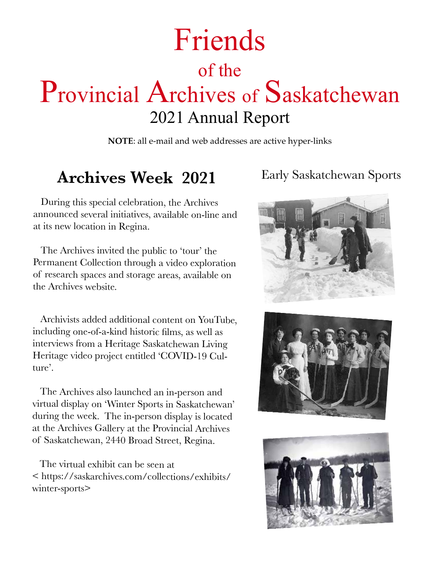# Friends of the Provincial Archives of Saskatchewan 2021 Annual Report

**NOTE**: all e-mail and web addresses are active hyper-links

## **Archives Week 2021**

 During this special celebration, the Archives announced several initiatives, available on-line and at its new location in Regina.

 The Archives invited the public to 'tour' the Permanent Collection through a video exploration of research spaces and storage areas, available on the Archives website.

 Archivists added additional content on YouTube, including one-of-a-kind historic films, as well as interviews from a Heritage Saskatchewan Living Heritage video project entitled 'COVID-19 Culture'.

 The Archives also launched an in-person and virtual display on 'Winter Sports in Saskatchewan' during the week. The in-person display is located at the Archives Gallery at the Provincial Archives of Saskatchewan, 2440 Broad Street, Regina.

 The virtual exhibit can be seen at < https://saskarchives.com/collections/exhibits/ winter-sports>

#### Early Saskatchewan Sports





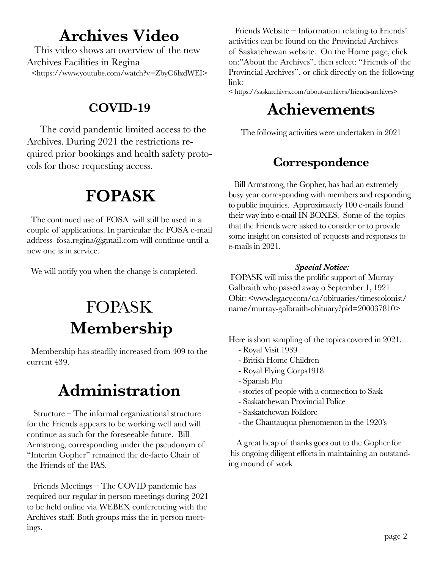## **Archives Video**

 This video shows an overview of the new Archives Facilities in Regina <https://www.youtube.com/watch?v=ZbyC6lxdWEI>

### **COVID-19**

 The covid pandemic limited access to the Archives. During 2021 the restrictions required prior bookings and health safety protocols for those requesting access.

# **FOPASK**

 The continued use of FOSA will still be used in a couple of applications. In particular the FOSA e-mail address fosa.regina@gmail.com will continue until a new one is in service.

We will notify you when the change is completed.

# FOPASK **Membership**

 Membership has steadily increased from 409 to the current 439.

# **Administration**

 Structure – The informal organizational structure for the Friends appears to be working well and will continue as such for the foreseeable future. Bill Armstrong, corresponding under the pseudonym of "Interim Gopher" remained the de-facto Chair of the Friends of the PAS.

 Friends Meetings – The COVID pandemic has required our regular in person meetings during 2021 to be held online via WEBEX conferencing with the Archives staff. Both groups miss the in person meetings.

 Friends Website – Information relating to Friends' activities can be found on the Provincial Archives of Saskatchewan website. On the Home page, click on:"About the Archives", then select: "Friends of the Provincial Archives", or click directly on the following link:

< https://saskarchives.com/about-archives/friends-archives>

# **Achievements**

The following activities were undertaken in 2021

## **Correspondence**

 Bill Armstrong, the Gopher, has had an extremely busy year corresponding with members and responding to public inquiries. Approximately 100 e-mails found their way into e-mail IN BOXES. Some of the topics that the Friends were asked to consider or to provide some insight on consisted of requests and responses to e-mails in 2021.

#### *Special Notice:*

 FOPASK will miss the prolific support of Murray Galbraith who passed away o September 1, 1921 Obit: <www.legacy.com/ca/obituaries/timescolonist/ name/murray-galbraith-obituary?pid=200037810>

Here is short sampling of the topics covered in 2021.

- Royal Visit 1939
- British Home Children
- Royal Flying Corps1918
- Spanish Flu
- stories of people with a connection to Sask
- Saskatchewan Provincial Police
- Saskatchewan Folklore
- the Chautauqua phenomenon in the 1920's

 A great heap of thanks goes out to the Gopher for his ongoing diligent efforts in maintaining an outstanding mound of work